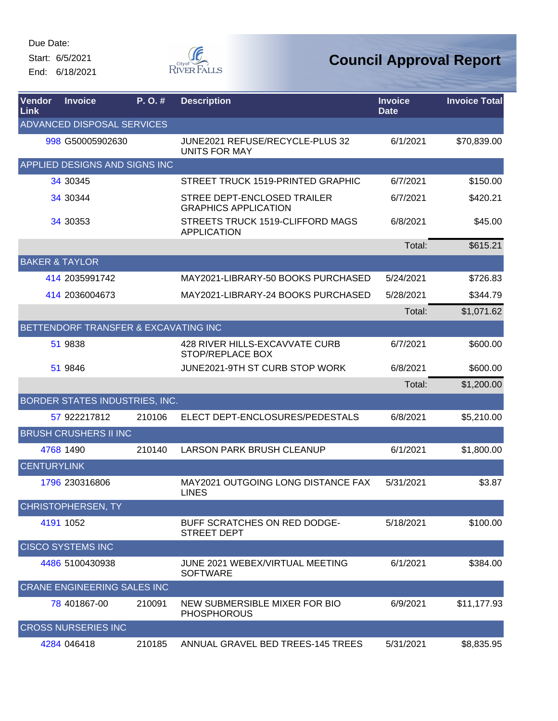Start: 6/5/2021 End: 6/18/2021



| <b>Vendor</b><br>Link | <b>Invoice</b>                       | P.O.#  | <b>Description</b>                                                | <b>Invoice</b><br><b>Date</b> | <b>Invoice Total</b> |
|-----------------------|--------------------------------------|--------|-------------------------------------------------------------------|-------------------------------|----------------------|
|                       | ADVANCED DISPOSAL SERVICES           |        |                                                                   |                               |                      |
|                       | 998 G50005902630                     |        | JUNE2021 REFUSE/RECYCLE-PLUS 32<br><b>UNITS FOR MAY</b>           | 6/1/2021                      | \$70,839.00          |
|                       | APPLIED DESIGNS AND SIGNS INC        |        |                                                                   |                               |                      |
|                       | 34 30 345                            |        | STREET TRUCK 1519-PRINTED GRAPHIC                                 | 6/7/2021                      | \$150.00             |
|                       | 34 30 344                            |        | <b>STREE DEPT-ENCLOSED TRAILER</b><br><b>GRAPHICS APPLICATION</b> | 6/7/2021                      | \$420.21             |
|                       | 34 30353                             |        | STREETS TRUCK 1519-CLIFFORD MAGS<br><b>APPLICATION</b>            | 6/8/2021                      | \$45.00              |
|                       |                                      |        |                                                                   | Total:                        | \$615.21             |
|                       | <b>BAKER &amp; TAYLOR</b>            |        |                                                                   |                               |                      |
|                       | 414 2035991742                       |        | MAY2021-LIBRARY-50 BOOKS PURCHASED                                | 5/24/2021                     | \$726.83             |
|                       | 414 2036004673                       |        | MAY2021-LIBRARY-24 BOOKS PURCHASED                                | 5/28/2021                     | \$344.79             |
|                       |                                      |        |                                                                   | Total:                        | \$1,071.62           |
|                       | BETTENDORF TRANSFER & EXCAVATING INC |        |                                                                   |                               |                      |
|                       | 51 9838                              |        | 428 RIVER HILLS-EXCAVVATE CURB<br><b>STOP/REPLACE BOX</b>         | 6/7/2021                      | \$600.00             |
|                       | 51 9846                              |        | JUNE2021-9TH ST CURB STOP WORK                                    | 6/8/2021                      | \$600.00             |
|                       |                                      |        |                                                                   | Total:                        | \$1,200.00           |
|                       | BORDER STATES INDUSTRIES, INC.       |        |                                                                   |                               |                      |
|                       | 57 922217812                         | 210106 | ELECT DEPT-ENCLOSURES/PEDESTALS                                   | 6/8/2021                      | \$5,210.00           |
|                       | <b>BRUSH CRUSHERS II INC</b>         |        |                                                                   |                               |                      |
|                       | 4768 1490                            | 210140 | <b>LARSON PARK BRUSH CLEANUP</b>                                  | 6/1/2021                      | \$1,800.00           |
| <b>CENTURYLINK</b>    |                                      |        |                                                                   |                               |                      |
|                       | 1796 230316806                       |        | MAY2021 OUTGOING LONG DISTANCE FAX<br><b>LINES</b>                | 5/31/2021                     | \$3.87               |
|                       | <b>CHRISTOPHERSEN, TY</b>            |        |                                                                   |                               |                      |
|                       | 4191 1052                            |        | BUFF SCRATCHES ON RED DODGE-<br><b>STREET DEPT</b>                | 5/18/2021                     | \$100.00             |
|                       | <b>CISCO SYSTEMS INC</b>             |        |                                                                   |                               |                      |
|                       | 4486 5100430938                      |        | JUNE 2021 WEBEX/VIRTUAL MEETING<br><b>SOFTWARE</b>                | 6/1/2021                      | \$384.00             |
|                       | <b>CRANE ENGINEERING SALES INC</b>   |        |                                                                   |                               |                      |
|                       | 78 401867-00                         | 210091 | NEW SUBMERSIBLE MIXER FOR BIO<br><b>PHOSPHOROUS</b>               | 6/9/2021                      | \$11,177.93          |
|                       | <b>CROSS NURSERIES INC</b>           |        |                                                                   |                               |                      |
|                       | 4284 046418                          | 210185 | ANNUAL GRAVEL BED TREES-145 TREES                                 | 5/31/2021                     | \$8,835.95           |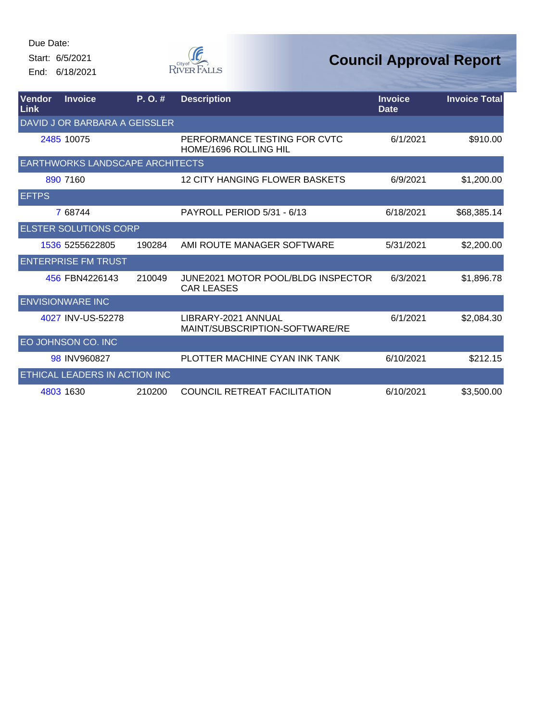Start: 6/5/2021 End: 6/18/2021



| <b>Vendor</b><br><b>Link</b> | <b>Invoice</b>                         | P. O. # | <b>Description</b>                                      | <b>Invoice</b><br><b>Date</b> | <b>Invoice Total</b> |
|------------------------------|----------------------------------------|---------|---------------------------------------------------------|-------------------------------|----------------------|
|                              | DAVID JOR BARBARA A GEISSLER           |         |                                                         |                               |                      |
|                              | 2485 10075                             |         | PERFORMANCE TESTING FOR CVTC<br>HOME/1696 ROLLING HIL   | 6/1/2021                      | \$910.00             |
|                              | <b>EARTHWORKS LANDSCAPE ARCHITECTS</b> |         |                                                         |                               |                      |
|                              | 890 7160                               |         | 12 CITY HANGING FLOWER BASKETS                          | 6/9/2021                      | \$1,200.00           |
| <b>EFTPS</b>                 |                                        |         |                                                         |                               |                      |
|                              | 7 68744                                |         | PAYROLL PERIOD 5/31 - 6/13                              | 6/18/2021                     | \$68,385.14          |
|                              | <b>ELSTER SOLUTIONS CORP</b>           |         |                                                         |                               |                      |
|                              | 1536 5255622805                        | 190284  | AMI ROUTE MANAGER SOFTWARE                              | 5/31/2021                     | \$2,200.00           |
|                              | <b>ENTERPRISE FM TRUST</b>             |         |                                                         |                               |                      |
|                              | 456 FBN4226143                         | 210049  | JUNE2021 MOTOR POOL/BLDG INSPECTOR<br><b>CAR LEASES</b> | 6/3/2021                      | \$1,896.78           |
|                              | <b>ENVISIONWARE INC</b>                |         |                                                         |                               |                      |
|                              | 4027 INV-US-52278                      |         | LIBRARY-2021 ANNUAL<br>MAINT/SUBSCRIPTION-SOFTWARE/RE   | 6/1/2021                      | \$2,084.30           |
|                              | EO JOHNSON CO. INC                     |         |                                                         |                               |                      |
|                              | 98 INV960827                           |         | PLOTTER MACHINE CYAN INK TANK                           | 6/10/2021                     | \$212.15             |
|                              | ETHICAL LEADERS IN ACTION INC          |         |                                                         |                               |                      |
|                              | 4803 1630                              | 210200  | <b>COUNCIL RETREAT FACILITATION</b>                     | 6/10/2021                     | \$3,500.00           |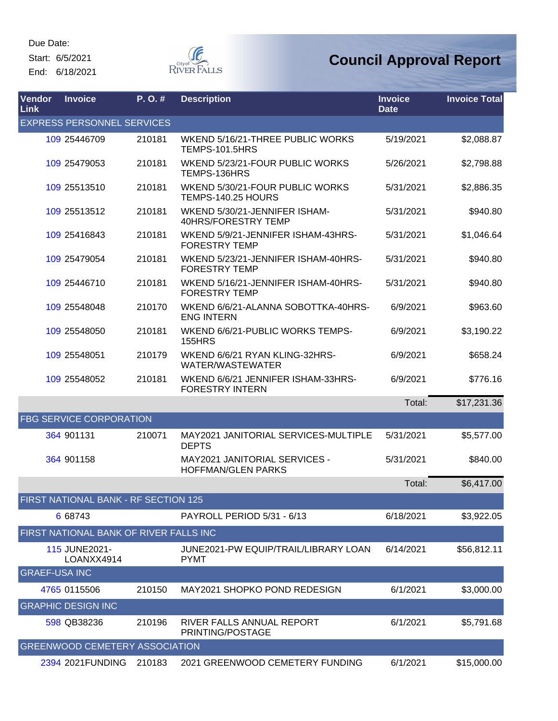Start: 6/5/2021 End: 6/18/2021



| Vendor<br>Link       | <b>Invoice</b>                         | P. O. # | <b>Description</b>                                           | <b>Invoice</b><br><b>Date</b> | <b>Invoice Total</b> |
|----------------------|----------------------------------------|---------|--------------------------------------------------------------|-------------------------------|----------------------|
|                      | <b>EXPRESS PERSONNEL SERVICES</b>      |         |                                                              |                               |                      |
|                      | 109 25446709                           | 210181  | WKEND 5/16/21-THREE PUBLIC WORKS<br><b>TEMPS-101.5HRS</b>    | 5/19/2021                     | \$2,088.87           |
|                      | 109 25479053                           | 210181  | WKEND 5/23/21-FOUR PUBLIC WORKS<br>TEMPS-136HRS              | 5/26/2021                     | \$2,798.88           |
|                      | 109 25513510                           | 210181  | WKEND 5/30/21-FOUR PUBLIC WORKS<br>TEMPS-140.25 HOURS        | 5/31/2021                     | \$2,886.35           |
|                      | 109 25513512                           | 210181  | WKEND 5/30/21-JENNIFER ISHAM-<br>40HRS/FORESTRY TEMP         | 5/31/2021                     | \$940.80             |
|                      | 109 25416843                           | 210181  | WKEND 5/9/21-JENNIFER ISHAM-43HRS-<br><b>FORESTRY TEMP</b>   | 5/31/2021                     | \$1,046.64           |
|                      | 109 25479054                           | 210181  | WKEND 5/23/21-JENNIFER ISHAM-40HRS-<br><b>FORESTRY TEMP</b>  | 5/31/2021                     | \$940.80             |
|                      | 109 25446710                           | 210181  | WKEND 5/16/21-JENNIFER ISHAM-40HRS-<br><b>FORESTRY TEMP</b>  | 5/31/2021                     | \$940.80             |
|                      | 109 25548048                           | 210170  | WKEND 6/6/21-ALANNA SOBOTTKA-40HRS-<br><b>ENG INTERN</b>     | 6/9/2021                      | \$963.60             |
|                      | 109 25548050                           | 210181  | WKEND 6/6/21-PUBLIC WORKS TEMPS-<br><b>155HRS</b>            | 6/9/2021                      | \$3,190.22           |
|                      | 109 25548051                           | 210179  | WKEND 6/6/21 RYAN KLING-32HRS-<br>WATER/WASTEWATER           | 6/9/2021                      | \$658.24             |
|                      | 109 25548052                           | 210181  | WKEND 6/6/21 JENNIFER ISHAM-33HRS-<br><b>FORESTRY INTERN</b> | 6/9/2021                      | \$776.16             |
|                      |                                        |         |                                                              | Total:                        | \$17,231.36          |
|                      | <b>FBG SERVICE CORPORATION</b>         |         |                                                              |                               |                      |
|                      | 364 901131                             | 210071  | MAY2021 JANITORIAL SERVICES-MULTIPLE<br><b>DEPTS</b>         | 5/31/2021                     | \$5,577.00           |
|                      | 364 901158                             |         | MAY2021 JANITORIAL SERVICES -<br><b>HOFFMAN/GLEN PARKS</b>   | 5/31/2021                     | \$840.00             |
|                      |                                        |         |                                                              | Total:                        | \$6,417.00           |
|                      | FIRST NATIONAL BANK - RF SECTION 125   |         |                                                              |                               |                      |
|                      | 6 68743                                |         | PAYROLL PERIOD 5/31 - 6/13                                   | 6/18/2021                     | \$3,922.05           |
|                      | FIRST NATIONAL BANK OF RIVER FALLS INC |         |                                                              |                               |                      |
|                      | 115 JUNE2021-<br>LOANXX4914            |         | JUNE2021-PW EQUIP/TRAIL/LIBRARY LOAN<br><b>PYMT</b>          | 6/14/2021                     | \$56,812.11          |
| <b>GRAEF-USA INC</b> |                                        |         |                                                              |                               |                      |
|                      | 4765 0115506                           | 210150  | MAY2021 SHOPKO POND REDESIGN                                 | 6/1/2021                      | \$3,000.00           |
|                      | <b>GRAPHIC DESIGN INC</b>              |         |                                                              |                               |                      |
|                      | 598 QB38236                            | 210196  | RIVER FALLS ANNUAL REPORT<br>PRINTING/POSTAGE                | 6/1/2021                      | \$5,791.68           |
|                      | <b>GREENWOOD CEMETERY ASSOCIATION</b>  |         |                                                              |                               |                      |
|                      | 2394 2021 FUNDING                      | 210183  | 2021 GREENWOOD CEMETERY FUNDING                              | 6/1/2021                      | \$15,000.00          |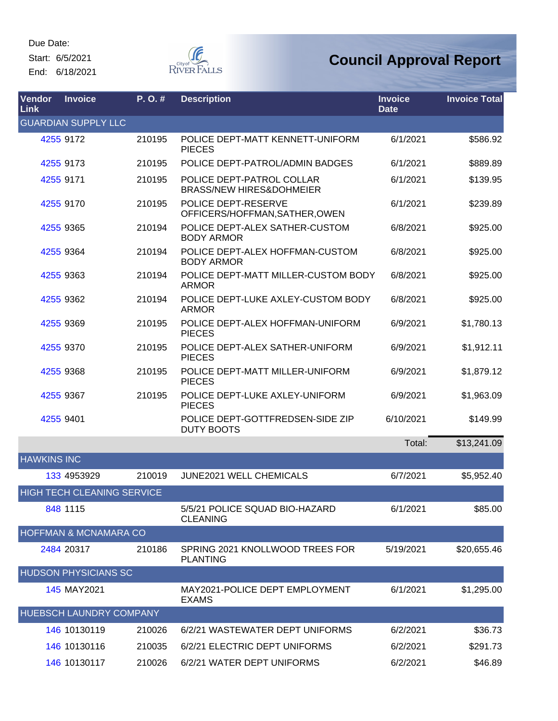Start: 6/5/2021

End: 6/18/2021



| Vendor<br>Link     | <b>Invoice</b>                    | P. O. # | <b>Description</b>                                               | <b>Invoice</b><br><b>Date</b> | <b>Invoice Total</b> |
|--------------------|-----------------------------------|---------|------------------------------------------------------------------|-------------------------------|----------------------|
|                    | <b>GUARDIAN SUPPLY LLC</b>        |         |                                                                  |                               |                      |
|                    | 4255 9172                         | 210195  | POLICE DEPT-MATT KENNETT-UNIFORM<br><b>PIECES</b>                | 6/1/2021                      | \$586.92             |
|                    | 4255 9173                         | 210195  | POLICE DEPT-PATROL/ADMIN BADGES                                  | 6/1/2021                      | \$889.89             |
|                    | 4255 9171                         | 210195  | POLICE DEPT-PATROL COLLAR<br><b>BRASS/NEW HIRES&amp;DOHMEIER</b> | 6/1/2021                      | \$139.95             |
|                    | 4255 9170                         | 210195  | POLICE DEPT-RESERVE<br>OFFICERS/HOFFMAN, SATHER, OWEN            | 6/1/2021                      | \$239.89             |
|                    | 4255 9365                         | 210194  | POLICE DEPT-ALEX SATHER-CUSTOM<br><b>BODY ARMOR</b>              | 6/8/2021                      | \$925.00             |
|                    | 4255 9364                         | 210194  | POLICE DEPT-ALEX HOFFMAN-CUSTOM<br><b>BODY ARMOR</b>             | 6/8/2021                      | \$925.00             |
|                    | 4255 9363                         | 210194  | POLICE DEPT-MATT MILLER-CUSTOM BODY<br><b>ARMOR</b>              | 6/8/2021                      | \$925.00             |
|                    | 4255 9362                         | 210194  | POLICE DEPT-LUKE AXLEY-CUSTOM BODY<br><b>ARMOR</b>               | 6/8/2021                      | \$925.00             |
|                    | 4255 9369                         | 210195  | POLICE DEPT-ALEX HOFFMAN-UNIFORM<br><b>PIECES</b>                | 6/9/2021                      | \$1,780.13           |
|                    | 4255 9370                         | 210195  | POLICE DEPT-ALEX SATHER-UNIFORM<br><b>PIECES</b>                 | 6/9/2021                      | \$1,912.11           |
|                    | 4255 9368                         | 210195  | POLICE DEPT-MATT MILLER-UNIFORM<br><b>PIECES</b>                 | 6/9/2021                      | \$1,879.12           |
|                    | 4255 9367                         | 210195  | POLICE DEPT-LUKE AXLEY-UNIFORM<br><b>PIECES</b>                  | 6/9/2021                      | \$1,963.09           |
|                    | 4255 9401                         |         | POLICE DEPT-GOTTFREDSEN-SIDE ZIP<br><b>DUTY BOOTS</b>            | 6/10/2021                     | \$149.99             |
|                    |                                   |         |                                                                  | Total:                        | \$13,241.09          |
| <b>HAWKINS INC</b> |                                   |         |                                                                  |                               |                      |
|                    | 133 4953929                       | 210019  | JUNE2021 WELL CHEMICALS                                          | 6/7/2021                      | \$5,952.40           |
|                    | <b>HIGH TECH CLEANING SERVICE</b> |         |                                                                  |                               |                      |
|                    | 848 1115                          |         | 5/5/21 POLICE SQUAD BIO-HAZARD<br><b>CLEANING</b>                | 6/1/2021                      | \$85.00              |
|                    | <b>HOFFMAN &amp; MCNAMARA CO</b>  |         |                                                                  |                               |                      |
|                    | 2484 20317                        | 210186  | SPRING 2021 KNOLLWOOD TREES FOR<br><b>PLANTING</b>               | 5/19/2021                     | \$20,655.46          |
|                    | <b>HUDSON PHYSICIANS SC</b>       |         |                                                                  |                               |                      |
|                    | 145 MAY2021                       |         | MAY2021-POLICE DEPT EMPLOYMENT<br><b>EXAMS</b>                   | 6/1/2021                      | \$1,295.00           |
|                    | HUEBSCH LAUNDRY COMPANY           |         |                                                                  |                               |                      |
|                    | 146 10130119                      | 210026  | 6/2/21 WASTEWATER DEPT UNIFORMS                                  | 6/2/2021                      | \$36.73              |
|                    | 146 10130116                      | 210035  | 6/2/21 ELECTRIC DEPT UNIFORMS                                    | 6/2/2021                      | \$291.73             |
|                    | 146 10130117                      | 210026  | 6/2/21 WATER DEPT UNIFORMS                                       | 6/2/2021                      | \$46.89              |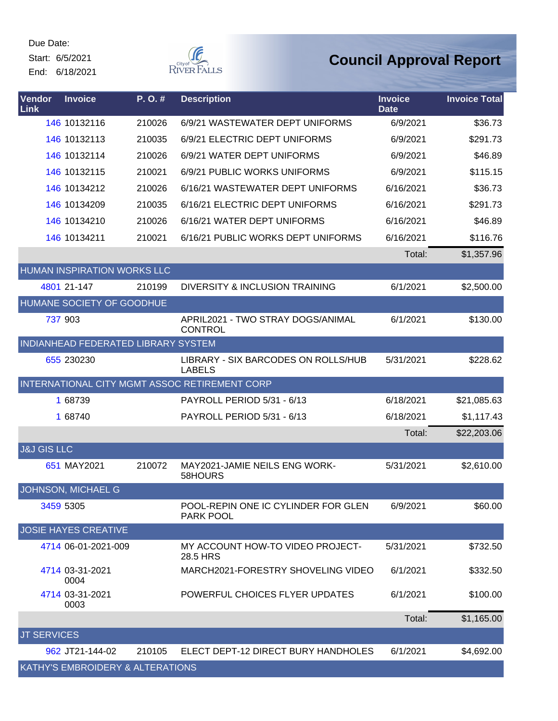Start: 6/5/2021 End: 6/18/2021



| Vendor<br>Link         | <b>Invoice</b>                      | P.O.#  | <b>Description</b>                                   | <b>Invoice</b><br><b>Date</b> | <b>Invoice Total</b> |
|------------------------|-------------------------------------|--------|------------------------------------------------------|-------------------------------|----------------------|
|                        | 146 10132116                        | 210026 | 6/9/21 WASTEWATER DEPT UNIFORMS                      | 6/9/2021                      | \$36.73              |
|                        | 146 10132113                        | 210035 | 6/9/21 ELECTRIC DEPT UNIFORMS                        | 6/9/2021                      | \$291.73             |
|                        | 146 10132114                        | 210026 | 6/9/21 WATER DEPT UNIFORMS                           | 6/9/2021                      | \$46.89              |
|                        | 146 10132115                        | 210021 | 6/9/21 PUBLIC WORKS UNIFORMS                         | 6/9/2021                      | \$115.15             |
|                        | 146 10134212                        | 210026 | 6/16/21 WASTEWATER DEPT UNIFORMS                     | 6/16/2021                     | \$36.73              |
|                        | 146 10134209                        | 210035 | 6/16/21 ELECTRIC DEPT UNIFORMS                       | 6/16/2021                     | \$291.73             |
|                        | 146 10134210                        | 210026 | 6/16/21 WATER DEPT UNIFORMS                          | 6/16/2021                     | \$46.89              |
|                        | 146 10134211                        | 210021 | 6/16/21 PUBLIC WORKS DEPT UNIFORMS                   | 6/16/2021                     | \$116.76             |
|                        |                                     |        |                                                      | Total:                        | \$1,357.96           |
|                        | <b>HUMAN INSPIRATION WORKS LLC</b>  |        |                                                      |                               |                      |
|                        | 4801 21-147                         | 210199 | DIVERSITY & INCLUSION TRAINING                       | 6/1/2021                      | \$2,500.00           |
|                        | HUMANE SOCIETY OF GOODHUE           |        |                                                      |                               |                      |
|                        | 737 903                             |        | APRIL2021 - TWO STRAY DOGS/ANIMAL<br><b>CONTROL</b>  | 6/1/2021                      | \$130.00             |
|                        | INDIANHEAD FEDERATED LIBRARY SYSTEM |        |                                                      |                               |                      |
|                        | 655 230230                          |        | LIBRARY - SIX BARCODES ON ROLLS/HUB<br><b>LABELS</b> | 5/31/2021                     | \$228.62             |
|                        |                                     |        | INTERNATIONAL CITY MGMT ASSOC RETIREMENT CORP        |                               |                      |
|                        | 1 68739                             |        | PAYROLL PERIOD 5/31 - 6/13                           | 6/18/2021                     | \$21,085.63          |
|                        | 1 68740                             |        | PAYROLL PERIOD 5/31 - 6/13                           | 6/18/2021                     | \$1,117.43           |
|                        |                                     |        |                                                      | Total:                        | \$22,203.06          |
| <b>J&amp;J GIS LLC</b> |                                     |        |                                                      |                               |                      |
|                        | 651 MAY2021                         | 210072 | MAY2021-JAMIE NEILS ENG WORK-<br>58HOURS             | 5/31/2021                     | \$2,610.00           |
|                        | <b>JOHNSON, MICHAEL G</b>           |        |                                                      |                               |                      |
|                        | 3459 5305                           |        | POOL-REPIN ONE IC CYLINDER FOR GLEN<br>PARK POOL     | 6/9/2021                      | \$60.00              |
|                        | <b>JOSIE HAYES CREATIVE</b>         |        |                                                      |                               |                      |
|                        | 4714 06-01-2021-009                 |        | MY ACCOUNT HOW-TO VIDEO PROJECT-<br>28.5 HRS         | 5/31/2021                     | \$732.50             |
|                        | 4714 03-31-2021<br>0004             |        | MARCH2021-FORESTRY SHOVELING VIDEO                   | 6/1/2021                      | \$332.50             |
|                        | 4714 03-31-2021<br>0003             |        | POWERFUL CHOICES FLYER UPDATES                       | 6/1/2021                      | \$100.00             |
|                        |                                     |        |                                                      | Total:                        | \$1,165.00           |
| <b>JT SERVICES</b>     |                                     |        |                                                      |                               |                      |
|                        | 962 JT21-144-02                     | 210105 | ELECT DEPT-12 DIRECT BURY HANDHOLES                  | 6/1/2021                      | \$4,692.00           |
|                        | KATHY'S EMBROIDERY & ALTERATIONS    |        |                                                      |                               |                      |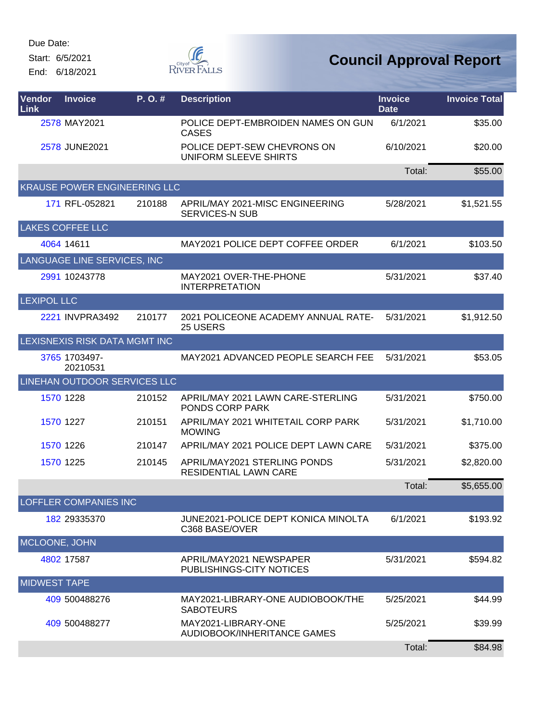Start: 6/5/2021

End: 6/18/2021



| Vendor<br>Link      | <b>Invoice</b>                | P.O.#  | <b>Description</b>                                           | <b>Invoice</b><br><b>Date</b> | <b>Invoice Total</b> |
|---------------------|-------------------------------|--------|--------------------------------------------------------------|-------------------------------|----------------------|
|                     | 2578 MAY2021                  |        | POLICE DEPT-EMBROIDEN NAMES ON GUN<br><b>CASES</b>           | 6/1/2021                      | \$35.00              |
|                     | 2578 JUNE2021                 |        | POLICE DEPT-SEW CHEVRONS ON<br>UNIFORM SLEEVE SHIRTS         | 6/10/2021                     | \$20.00              |
|                     |                               |        |                                                              | Total:                        | \$55.00              |
|                     | KRAUSE POWER ENGINEERING LLC  |        |                                                              |                               |                      |
|                     | 171 RFL-052821                | 210188 | APRIL/MAY 2021-MISC ENGINEERING<br><b>SERVICES-N SUB</b>     | 5/28/2021                     | \$1,521.55           |
|                     | <b>LAKES COFFEE LLC</b>       |        |                                                              |                               |                      |
|                     | 4064 14611                    |        | MAY2021 POLICE DEPT COFFEE ORDER                             | 6/1/2021                      | \$103.50             |
|                     | LANGUAGE LINE SERVICES, INC   |        |                                                              |                               |                      |
|                     | 2991 10243778                 |        | MAY2021 OVER-THE-PHONE<br><b>INTERPRETATION</b>              | 5/31/2021                     | \$37.40              |
| <b>LEXIPOL LLC</b>  |                               |        |                                                              |                               |                      |
|                     | 2221 INVPRA3492               | 210177 | 2021 POLICEONE ACADEMY ANNUAL RATE-<br>25 USERS              | 5/31/2021                     | \$1,912.50           |
|                     | LEXISNEXIS RISK DATA MGMT INC |        |                                                              |                               |                      |
|                     | 3765 1703497-<br>20210531     |        | MAY2021 ADVANCED PEOPLE SEARCH FEE                           | 5/31/2021                     | \$53.05              |
|                     | LINEHAN OUTDOOR SERVICES LLC  |        |                                                              |                               |                      |
|                     | 1570 1228                     | 210152 | APRIL/MAY 2021 LAWN CARE-STERLING<br>PONDS CORP PARK         | 5/31/2021                     | \$750.00             |
|                     | 1570 1227                     | 210151 | APRIL/MAY 2021 WHITETAIL CORP PARK<br><b>MOWING</b>          | 5/31/2021                     | \$1,710.00           |
|                     | 1570 1226                     | 210147 | APRIL/MAY 2021 POLICE DEPT LAWN CARE                         | 5/31/2021                     | \$375.00             |
|                     | 1570 1225                     | 210145 | APRIL/MAY2021 STERLING PONDS<br><b>RESIDENTIAL LAWN CARE</b> | 5/31/2021                     | \$2,820.00           |
|                     |                               |        |                                                              | Total:                        | \$5,655.00           |
|                     | LOFFLER COMPANIES INC         |        |                                                              |                               |                      |
|                     | 182 29335370                  |        | JUNE2021-POLICE DEPT KONICA MINOLTA<br>C368 BASE/OVER        | 6/1/2021                      | \$193.92             |
| MCLOONE, JOHN       |                               |        |                                                              |                               |                      |
|                     | 4802 17587                    |        | APRIL/MAY2021 NEWSPAPER<br>PUBLISHINGS-CITY NOTICES          | 5/31/2021                     | \$594.82             |
| <b>MIDWEST TAPE</b> |                               |        |                                                              |                               |                      |
|                     | 409 500488276                 |        | MAY2021-LIBRARY-ONE AUDIOBOOK/THE<br><b>SABOTEURS</b>        | 5/25/2021                     | \$44.99              |
|                     | 409 500488277                 |        | MAY2021-LIBRARY-ONE<br>AUDIOBOOK/INHERITANCE GAMES           | 5/25/2021                     | \$39.99              |
|                     |                               |        |                                                              | Total:                        | \$84.98              |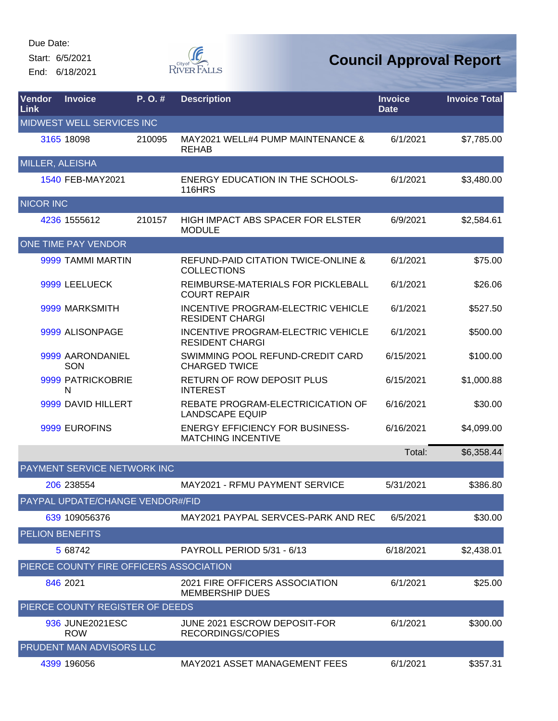Start: 6/5/2021 End: 6/18/2021



| Vendor<br><b>Link</b> | <b>Invoice</b>                          | P. O. # | <b>Description</b>                                                   | <b>Invoice</b><br><b>Date</b> | <b>Invoice Total</b> |
|-----------------------|-----------------------------------------|---------|----------------------------------------------------------------------|-------------------------------|----------------------|
|                       | <b>MIDWEST WELL SERVICES INC</b>        |         |                                                                      |                               |                      |
|                       | 3165 18098                              | 210095  | MAY2021 WELL#4 PUMP MAINTENANCE &<br><b>REHAB</b>                    | 6/1/2021                      | \$7,785.00           |
| MILLER, ALEISHA       |                                         |         |                                                                      |                               |                      |
|                       | 1540 FEB-MAY2021                        |         | <b>ENERGY EDUCATION IN THE SCHOOLS-</b><br><b>116HRS</b>             | 6/1/2021                      | \$3,480.00           |
| <b>NICOR INC</b>      |                                         |         |                                                                      |                               |                      |
|                       | 4236 1555612                            | 210157  | <b>HIGH IMPACT ABS SPACER FOR ELSTER</b><br><b>MODULE</b>            | 6/9/2021                      | \$2,584.61           |
|                       | <b>ONE TIME PAY VENDOR</b>              |         |                                                                      |                               |                      |
|                       | 9999 TAMMI MARTIN                       |         | <b>REFUND-PAID CITATION TWICE-ONLINE &amp;</b><br><b>COLLECTIONS</b> | 6/1/2021                      | \$75.00              |
|                       | 9999 LEELUECK                           |         | REIMBURSE-MATERIALS FOR PICKLEBALL<br><b>COURT REPAIR</b>            | 6/1/2021                      | \$26.06              |
|                       | 9999 MARKSMITH                          |         | INCENTIVE PROGRAM-ELECTRIC VEHICLE<br><b>RESIDENT CHARGI</b>         | 6/1/2021                      | \$527.50             |
|                       | 9999 ALISONPAGE                         |         | INCENTIVE PROGRAM-ELECTRIC VEHICLE<br><b>RESIDENT CHARGI</b>         | 6/1/2021                      | \$500.00             |
|                       | 9999 AARONDANIEL<br>SON                 |         | SWIMMING POOL REFUND-CREDIT CARD<br><b>CHARGED TWICE</b>             | 6/15/2021                     | \$100.00             |
|                       | 9999 PATRICKOBRIE<br>N                  |         | <b>RETURN OF ROW DEPOSIT PLUS</b><br><b>INTEREST</b>                 | 6/15/2021                     | \$1,000.88           |
|                       | 9999 DAVID HILLERT                      |         | REBATE PROGRAM-ELECTRICICATION OF<br><b>LANDSCAPE EQUIP</b>          | 6/16/2021                     | \$30.00              |
|                       | 9999 EUROFINS                           |         | <b>ENERGY EFFICIENCY FOR BUSINESS-</b><br><b>MATCHING INCENTIVE</b>  | 6/16/2021                     | \$4,099.00           |
|                       |                                         |         |                                                                      | Total:                        | \$6,358.44           |
|                       | <b>PAYMENT SERVICE NETWORK INC</b>      |         |                                                                      |                               |                      |
|                       | 206 238554                              |         | MAY2021 - RFMU PAYMENT SERVICE                                       | 5/31/2021                     | \$386.80             |
|                       | PAYPAL UPDATE/CHANGE VENDOR#/FID        |         |                                                                      |                               |                      |
|                       | 639 109056376                           |         | MAY2021 PAYPAL SERVCES-PARK AND REC                                  | 6/5/2021                      | \$30.00              |
|                       | <b>PELION BENEFITS</b>                  |         |                                                                      |                               |                      |
|                       | 5 68742                                 |         | PAYROLL PERIOD 5/31 - 6/13                                           | 6/18/2021                     | \$2,438.01           |
|                       | PIERCE COUNTY FIRE OFFICERS ASSOCIATION |         |                                                                      |                               |                      |
|                       | 846 2021                                |         | 2021 FIRE OFFICERS ASSOCIATION<br><b>MEMBERSHIP DUES</b>             | 6/1/2021                      | \$25.00              |
|                       | PIERCE COUNTY REGISTER OF DEEDS         |         |                                                                      |                               |                      |
|                       | 936 JUNE2021ESC<br><b>ROW</b>           |         | JUNE 2021 ESCROW DEPOSIT-FOR<br>RECORDINGS/COPIES                    | 6/1/2021                      | \$300.00             |
|                       | PRUDENT MAN ADVISORS LLC                |         |                                                                      |                               |                      |
|                       | 4399 196056                             |         | MAY2021 ASSET MANAGEMENT FEES                                        | 6/1/2021                      | \$357.31             |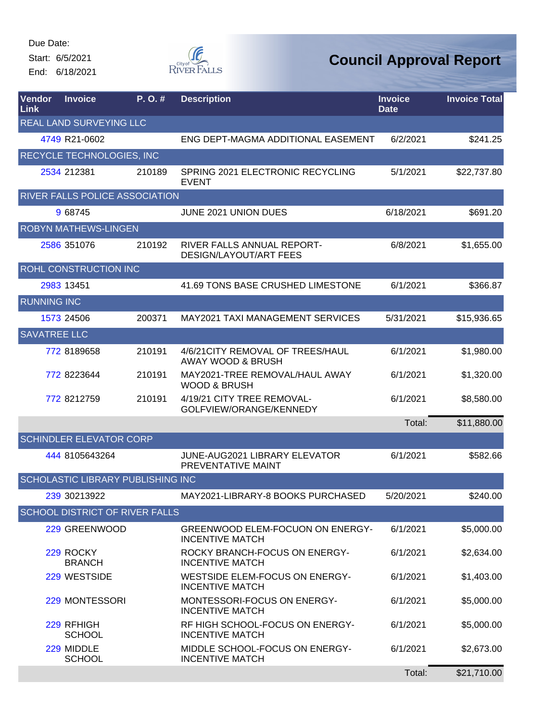Start: 6/5/2021 End: 6/18/2021

**F** RIVER FALLS

| Vendor<br>Link      | <b>Invoice</b>                           | P.O.#  | <b>Description</b>                                         | <b>Invoice</b><br><b>Date</b> | <b>Invoice Total</b> |
|---------------------|------------------------------------------|--------|------------------------------------------------------------|-------------------------------|----------------------|
|                     | <b>REAL LAND SURVEYING LLC</b>           |        |                                                            |                               |                      |
|                     | 4749 R21-0602                            |        | ENG DEPT-MAGMA ADDITIONAL EASEMENT                         | 6/2/2021                      | \$241.25             |
|                     | <b>RECYCLE TECHNOLOGIES, INC</b>         |        |                                                            |                               |                      |
|                     | 2534 212381                              | 210189 | SPRING 2021 ELECTRONIC RECYCLING<br><b>EVENT</b>           | 5/1/2021                      | \$22,737.80          |
|                     | <b>RIVER FALLS POLICE ASSOCIATION</b>    |        |                                                            |                               |                      |
|                     | 9 68745                                  |        | JUNE 2021 UNION DUES                                       | 6/18/2021                     | \$691.20             |
|                     | <b>ROBYN MATHEWS-LINGEN</b>              |        |                                                            |                               |                      |
|                     | 2586 351076                              | 210192 | RIVER FALLS ANNUAL REPORT-<br>DESIGN/LAYOUT/ART FEES       | 6/8/2021                      | \$1,655.00           |
|                     | <b>ROHL CONSTRUCTION INC</b>             |        |                                                            |                               |                      |
|                     | 2983 13451                               |        | 41.69 TONS BASE CRUSHED LIMESTONE                          | 6/1/2021                      | \$366.87             |
| <b>RUNNING INC</b>  |                                          |        |                                                            |                               |                      |
|                     | 1573 24506                               | 200371 | <b>MAY2021 TAXI MANAGEMENT SERVICES</b>                    | 5/31/2021                     | \$15,936.65          |
| <b>SAVATREE LLC</b> |                                          |        |                                                            |                               |                      |
|                     | 772 8189658                              | 210191 | 4/6/21 CITY REMOVAL OF TREES/HAUL<br>AWAY WOOD & BRUSH     | 6/1/2021                      | \$1,980.00           |
|                     | 772 8223644                              | 210191 | MAY2021-TREE REMOVAL/HAUL AWAY<br><b>WOOD &amp; BRUSH</b>  | 6/1/2021                      | \$1,320.00           |
|                     | 772 8212759                              | 210191 | 4/19/21 CITY TREE REMOVAL-<br>GOLFVIEW/ORANGE/KENNEDY      | 6/1/2021                      | \$8,580.00           |
|                     |                                          |        |                                                            | Total:                        | \$11,880.00          |
|                     | <b>SCHINDLER ELEVATOR CORP</b>           |        |                                                            |                               |                      |
|                     | 444 8105643264                           |        | JUNE-AUG2021 LIBRARY ELEVATOR<br>PREVENTATIVE MAINT        | 6/1/2021                      | \$582.66             |
|                     | <b>SCHOLASTIC LIBRARY PUBLISHING INC</b> |        |                                                            |                               |                      |
|                     | 239 30213922                             |        | MAY2021-LIBRARY-8 BOOKS PURCHASED                          | 5/20/2021                     | \$240.00             |
|                     | <b>SCHOOL DISTRICT OF RIVER FALLS</b>    |        |                                                            |                               |                      |
|                     | 229 GREENWOOD                            |        | GREENWOOD ELEM-FOCUON ON ENERGY-<br><b>INCENTIVE MATCH</b> | 6/1/2021                      | \$5,000.00           |
|                     | 229 ROCKY<br><b>BRANCH</b>               |        | ROCKY BRANCH-FOCUS ON ENERGY-<br><b>INCENTIVE MATCH</b>    | 6/1/2021                      | \$2,634.00           |
|                     | 229 WESTSIDE                             |        | WESTSIDE ELEM-FOCUS ON ENERGY-<br><b>INCENTIVE MATCH</b>   | 6/1/2021                      | \$1,403.00           |
|                     | 229 MONTESSORI                           |        | MONTESSORI-FOCUS ON ENERGY-<br><b>INCENTIVE MATCH</b>      | 6/1/2021                      | \$5,000.00           |
|                     | 229 RFHIGH<br><b>SCHOOL</b>              |        | RF HIGH SCHOOL-FOCUS ON ENERGY-<br><b>INCENTIVE MATCH</b>  | 6/1/2021                      | \$5,000.00           |
|                     | 229 MIDDLE<br><b>SCHOOL</b>              |        | MIDDLE SCHOOL-FOCUS ON ENERGY-<br><b>INCENTIVE MATCH</b>   | 6/1/2021                      | \$2,673.00           |
|                     |                                          |        |                                                            | Total:                        | \$21,710.00          |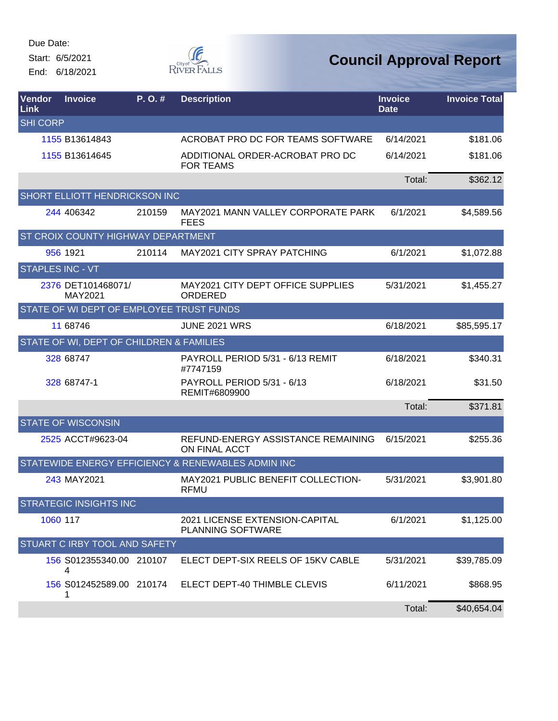Start: 6/5/2021 End: 6/18/2021



| Vendor<br><b>Link</b>   | <b>Invoice</b>                           | P. O. # | <b>Description</b>                                  | <b>Invoice</b><br><b>Date</b> | <b>Invoice Total</b> |
|-------------------------|------------------------------------------|---------|-----------------------------------------------------|-------------------------------|----------------------|
| <b>SHI CORP</b>         |                                          |         |                                                     |                               |                      |
|                         | 1155 B13614843                           |         | ACROBAT PRO DC FOR TEAMS SOFTWARE                   | 6/14/2021                     | \$181.06             |
|                         | 1155 B13614645                           |         | ADDITIONAL ORDER-ACROBAT PRO DC<br><b>FOR TEAMS</b> | 6/14/2021                     | \$181.06             |
|                         |                                          |         |                                                     | Total:                        | \$362.12             |
|                         | SHORT ELLIOTT HENDRICKSON INC            |         |                                                     |                               |                      |
|                         | 244 406342                               | 210159  | MAY2021 MANN VALLEY CORPORATE PARK<br><b>FEES</b>   | 6/1/2021                      | \$4,589.56           |
|                         | ST CROIX COUNTY HIGHWAY DEPARTMENT       |         |                                                     |                               |                      |
|                         | 956 1921                                 | 210114  | <b>MAY2021 CITY SPRAY PATCHING</b>                  | 6/1/2021                      | \$1,072.88           |
| <b>STAPLES INC - VT</b> |                                          |         |                                                     |                               |                      |
|                         | 2376 DET101468071/<br>MAY2021            |         | MAY2021 CITY DEPT OFFICE SUPPLIES<br>ORDERED        | 5/31/2021                     | \$1,455.27           |
|                         | STATE OF WI DEPT OF EMPLOYEE TRUST FUNDS |         |                                                     |                               |                      |
|                         | 11 68746                                 |         | <b>JUNE 2021 WRS</b>                                | 6/18/2021                     | \$85,595.17          |
|                         | STATE OF WI, DEPT OF CHILDREN & FAMILIES |         |                                                     |                               |                      |
|                         | 328 68747                                |         | PAYROLL PERIOD 5/31 - 6/13 REMIT<br>#7747159        | 6/18/2021                     | \$340.31             |
|                         | 328 68747-1                              |         | PAYROLL PERIOD 5/31 - 6/13<br>REMIT#6809900         | 6/18/2021                     | \$31.50              |
|                         |                                          |         |                                                     | Total:                        | \$371.81             |
|                         | <b>STATE OF WISCONSIN</b>                |         |                                                     |                               |                      |
|                         | 2525 ACCT#9623-04                        |         | REFUND-ENERGY ASSISTANCE REMAINING<br>ON FINAL ACCT | 6/15/2021                     | \$255.36             |
|                         |                                          |         | STATEWIDE ENERGY EFFICIENCY & RENEWABLES ADMIN INC  |                               |                      |
|                         | 243 MAY2021                              |         | MAY2021 PUBLIC BENEFIT COLLECTION-<br><b>RFMU</b>   | 5/31/2021                     | \$3,901.80           |
|                         | <b>STRATEGIC INSIGHTS INC</b>            |         |                                                     |                               |                      |
| 1060 117                |                                          |         | 2021 LICENSE EXTENSION-CAPITAL<br>PLANNING SOFTWARE | 6/1/2021                      | \$1,125.00           |
|                         | <b>STUART C IRBY TOOL AND SAFETY</b>     |         |                                                     |                               |                      |
|                         | 156 S012355340.00 210107<br>4            |         | ELECT DEPT-SIX REELS OF 15KV CABLE                  | 5/31/2021                     | \$39,785.09          |
|                         | 156 S012452589.00 210174<br>1            |         | ELECT DEPT-40 THIMBLE CLEVIS                        | 6/11/2021                     | \$868.95             |
|                         |                                          |         |                                                     | Total:                        | \$40,654.04          |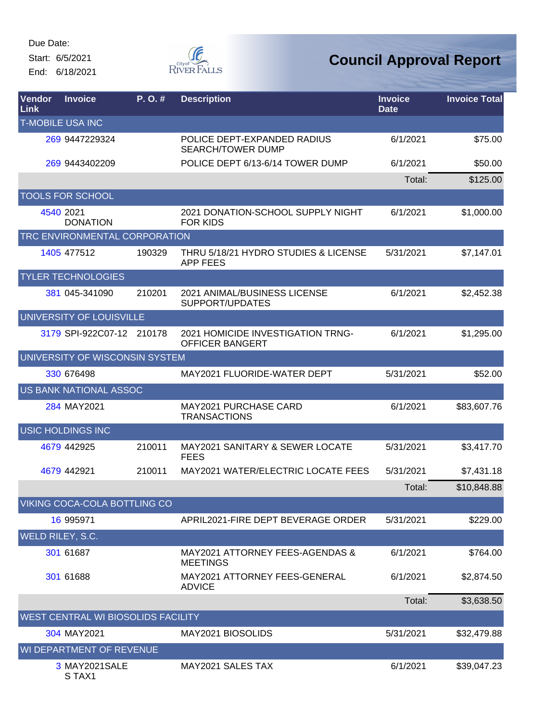Start: 6/5/2021 End: 6/18/2021



| Vendor<br>Link          | <b>Invoice</b>                            | P. O. # | <b>Description</b>                                          | <b>Invoice</b><br><b>Date</b> | <b>Invoice Total</b> |
|-------------------------|-------------------------------------------|---------|-------------------------------------------------------------|-------------------------------|----------------------|
|                         | <b>T-MOBILE USA INC</b>                   |         |                                                             |                               |                      |
|                         | 269 9447229324                            |         | POLICE DEPT-EXPANDED RADIUS<br><b>SEARCH/TOWER DUMP</b>     | 6/1/2021                      | \$75.00              |
|                         | 269 9443402209                            |         | POLICE DEPT 6/13-6/14 TOWER DUMP                            | 6/1/2021                      | \$50.00              |
|                         |                                           |         |                                                             | Total:                        | \$125.00             |
|                         | <b>TOOLS FOR SCHOOL</b>                   |         |                                                             |                               |                      |
|                         | 4540 2021<br><b>DONATION</b>              |         | 2021 DONATION-SCHOOL SUPPLY NIGHT<br><b>FOR KIDS</b>        | 6/1/2021                      | \$1,000.00           |
|                         | TRC ENVIRONMENTAL CORPORATION             |         |                                                             |                               |                      |
|                         | 1405 477512                               | 190329  | THRU 5/18/21 HYDRO STUDIES & LICENSE<br><b>APP FEES</b>     | 5/31/2021                     | \$7,147.01           |
|                         | <b>TYLER TECHNOLOGIES</b>                 |         |                                                             |                               |                      |
|                         | 381 045-341090                            | 210201  | 2021 ANIMAL/BUSINESS LICENSE<br>SUPPORT/UPDATES             | 6/1/2021                      | \$2,452.38           |
|                         | UNIVERSITY OF LOUISVILLE                  |         |                                                             |                               |                      |
|                         | 3179 SPI-922C07-12 210178                 |         | 2021 HOMICIDE INVESTIGATION TRNG-<br><b>OFFICER BANGERT</b> | 6/1/2021                      | \$1,295.00           |
|                         | UNIVERSITY OF WISCONSIN SYSTEM            |         |                                                             |                               |                      |
|                         | 330 676498                                |         | MAY2021 FLUORIDE-WATER DEPT                                 | 5/31/2021                     | \$52.00              |
|                         | US BANK NATIONAL ASSOC                    |         |                                                             |                               |                      |
|                         | 284 MAY2021                               |         | <b>MAY2021 PURCHASE CARD</b><br><b>TRANSACTIONS</b>         | 6/1/2021                      | \$83,607.76          |
|                         | <b>USIC HOLDINGS INC</b>                  |         |                                                             |                               |                      |
|                         | 4679 442925                               | 210011  | <b>MAY2021 SANITARY &amp; SEWER LOCATE</b><br><b>FEES</b>   | 5/31/2021                     | \$3,417.70           |
|                         | 4679 442921                               | 210011  | MAY2021 WATER/ELECTRIC LOCATE FEES                          | 5/31/2021                     | \$7,431.18           |
|                         |                                           |         |                                                             | Total:                        | \$10,848.88          |
|                         | VIKING COCA-COLA BOTTLING CO              |         |                                                             |                               |                      |
|                         | 16 995971                                 |         | APRIL2021-FIRE DEPT BEVERAGE ORDER                          | 5/31/2021                     | \$229.00             |
| <b>WELD RILEY, S.C.</b> |                                           |         |                                                             |                               |                      |
|                         | 301 61687                                 |         | MAY2021 ATTORNEY FEES-AGENDAS &<br><b>MEETINGS</b>          | 6/1/2021                      | \$764.00             |
|                         | 301 61688                                 |         | MAY2021 ATTORNEY FEES-GENERAL<br><b>ADVICE</b>              | 6/1/2021                      | \$2,874.50           |
|                         |                                           |         |                                                             | Total:                        | \$3,638.50           |
|                         | <b>WEST CENTRAL WI BIOSOLIDS FACILITY</b> |         |                                                             |                               |                      |
|                         | 304 MAY2021                               |         | MAY2021 BIOSOLIDS                                           | 5/31/2021                     | \$32,479.88          |
|                         | WI DEPARTMENT OF REVENUE                  |         |                                                             |                               |                      |
|                         | 3 MAY2021SALE<br>STAX1                    |         | MAY2021 SALES TAX                                           | 6/1/2021                      | \$39,047.23          |